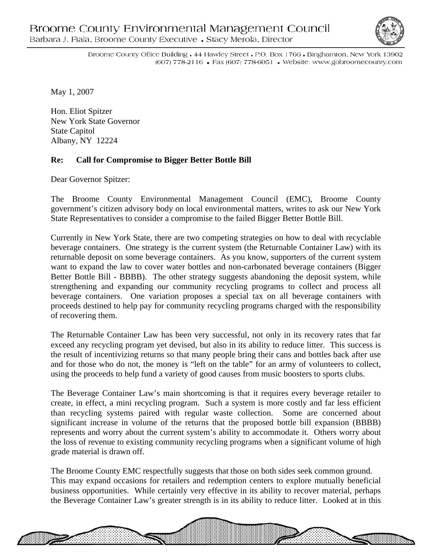

1999199999999999

Broome County Office Building • 44 Hawley Street • P.O. Box 1766 • Binghamton, New York 13902 (607) 778-2116 • Fax (607) 778-6051 • Website: www.gobroomecounty.com

May 1, 2007

Hon. Eliot Spitzer New York State Governor State Capitol Albany, NY 12224

## **Re: Call for Compromise to Bigger Better Bottle Bill**

Dear Governor Spitzer:

The Broome County Environmental Management Council (EMC), Broome County government's citizen advisory body on local environmental matters, writes to ask our New York State Representatives to consider a compromise to the failed Bigger Better Bottle Bill.

Currently in New York State, there are two competing strategies on how to deal with recyclable beverage containers. One strategy is the current system (the Returnable Container Law) with its returnable deposit on some beverage containers. As you know, supporters of the current system want to expand the law to cover water bottles and non-carbonated beverage containers (Bigger Better Bottle Bill - BBBB). The other strategy suggests abandoning the deposit system, while strengthening and expanding our community recycling programs to collect and process all beverage containers. One variation proposes a special tax on all beverage containers with proceeds destined to help pay for community recycling programs charged with the responsibility of recovering them.

The Returnable Container Law has been very successful, not only in its recovery rates that far exceed any recycling program yet devised, but also in its ability to reduce litter. This success is the result of incentivizing returns so that many people bring their cans and bottles back after use and for those who do not, the money is "left on the table" for an army of volunteers to collect, using the proceeds to help fund a variety of good causes from music boosters to sports clubs.

The Beverage Container Law's main shortcoming is that it requires every beverage retailer to create, in effect, a mini recycling program. Such a system is more costly and far less efficient than recycling systems paired with regular waste collection. Some are concerned about significant increase in volume of the returns that the proposed bottle bill expansion (BBBB) represents and worry about the current system's ability to accommodate it. Others worry about the loss of revenue to existing community recycling programs when a significant volume of high grade material is drawn off.

The Broome County EMC respectfully suggests that those on both sides seek common ground. This may expand occasions for retailers and redemption centers to explore mutually beneficial business opportunities. While certainly very effective in its ability to recover material, perhaps the Beverage Container Law's greater strength is in its ability to reduce litter. Looked at in this